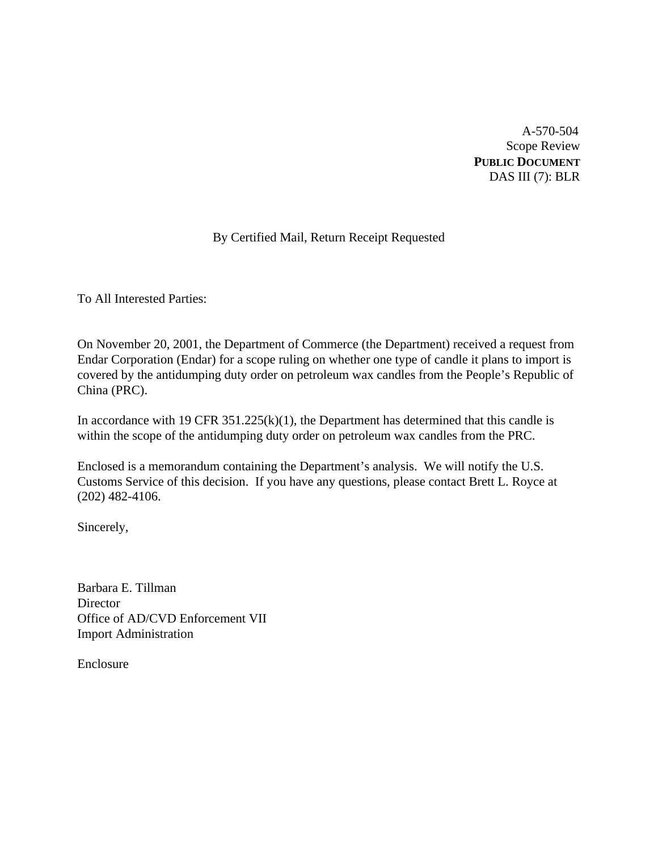A-570-504 Scope Review **PUBLIC DOCUMENT** DAS III (7): BLR

# By Certified Mail, Return Receipt Requested

To All Interested Parties:

On November 20, 2001, the Department of Commerce (the Department) received a request from Endar Corporation (Endar) for a scope ruling on whether one type of candle it plans to import is covered by the antidumping duty order on petroleum wax candles from the People's Republic of China (PRC).

In accordance with 19 CFR  $351.225(k)(1)$ , the Department has determined that this candle is within the scope of the antidumping duty order on petroleum wax candles from the PRC.

Enclosed is a memorandum containing the Department's analysis. We will notify the U.S. Customs Service of this decision. If you have any questions, please contact Brett L. Royce at (202) 482-4106.

Sincerely,

Barbara E. Tillman **Director** Office of AD/CVD Enforcement VII Import Administration

Enclosure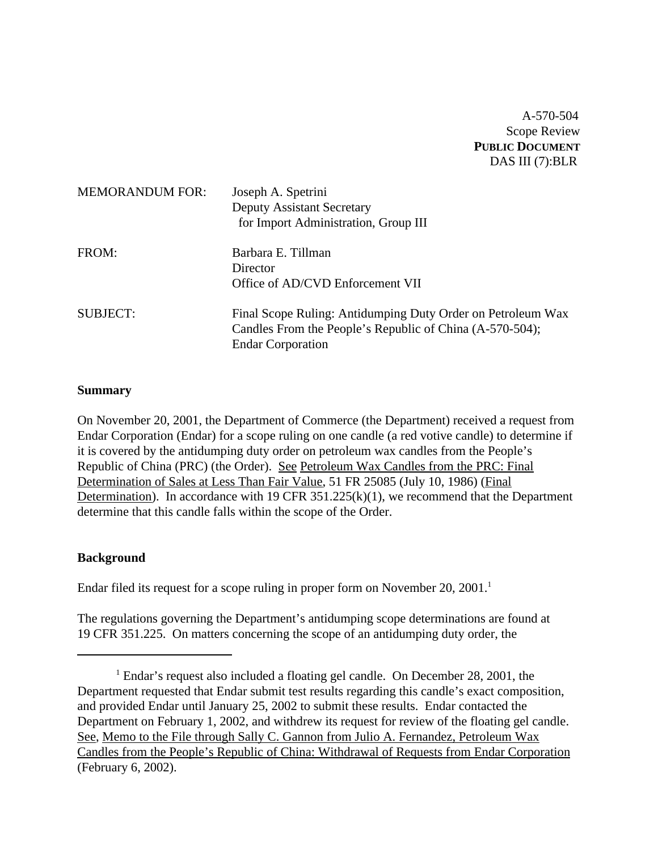A-570-504 Scope Review **PUBLIC DOCUMENT** DAS III (7):BLR

| <b>MEMORANDUM FOR:</b> | Joseph A. Spetrini<br><b>Deputy Assistant Secretary</b><br>for Import Administration, Group III                                                     |
|------------------------|-----------------------------------------------------------------------------------------------------------------------------------------------------|
| FROM:                  | Barbara E. Tillman<br>Director<br>Office of AD/CVD Enforcement VII                                                                                  |
| <b>SUBJECT:</b>        | Final Scope Ruling: Antidumping Duty Order on Petroleum Wax<br>Candles From the People's Republic of China (A-570-504);<br><b>Endar Corporation</b> |

### **Summary**

On November 20, 2001, the Department of Commerce (the Department) received a request from Endar Corporation (Endar) for a scope ruling on one candle (a red votive candle) to determine if it is covered by the antidumping duty order on petroleum wax candles from the People's Republic of China (PRC) (the Order). See Petroleum Wax Candles from the PRC: Final Determination of Sales at Less Than Fair Value, 51 FR 25085 (July 10, 1986) (Final Determination). In accordance with 19 CFR  $351.225(k)(1)$ , we recommend that the Department determine that this candle falls within the scope of the Order.

### **Background**

Endar filed its request for a scope ruling in proper form on November  $20$ ,  $2001$ .<sup>1</sup>

The regulations governing the Department's antidumping scope determinations are found at 19 CFR 351.225. On matters concerning the scope of an antidumping duty order, the

<sup>&</sup>lt;sup>1</sup> Endar's request also included a floating gel candle. On December 28, 2001, the Department requested that Endar submit test results regarding this candle's exact composition, and provided Endar until January 25, 2002 to submit these results. Endar contacted the Department on February 1, 2002, and withdrew its request for review of the floating gel candle. See, Memo to the File through Sally C. Gannon from Julio A. Fernandez, Petroleum Wax Candles from the People's Republic of China: Withdrawal of Requests from Endar Corporation (February 6, 2002).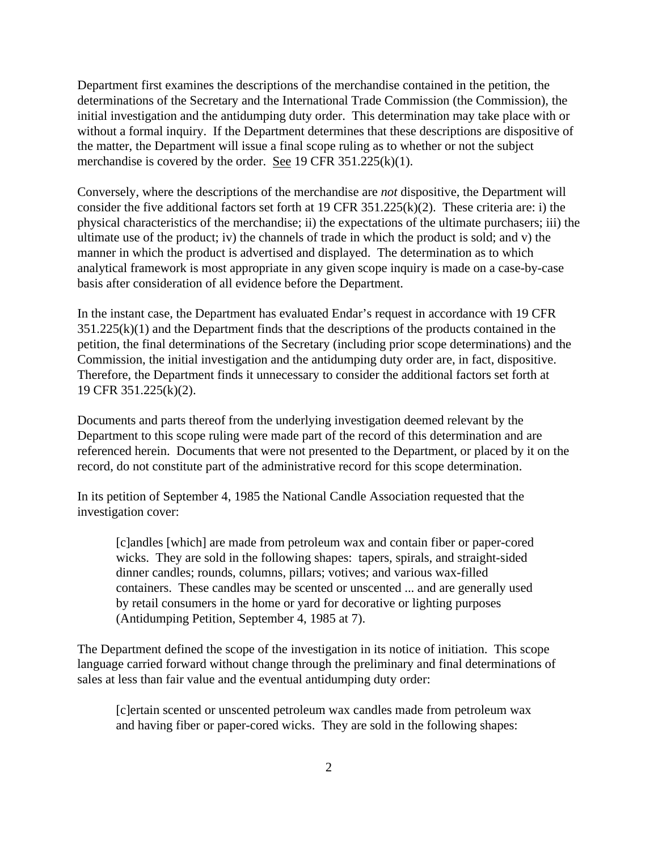Department first examines the descriptions of the merchandise contained in the petition, the determinations of the Secretary and the International Trade Commission (the Commission), the initial investigation and the antidumping duty order. This determination may take place with or without a formal inquiry. If the Department determines that these descriptions are dispositive of the matter, the Department will issue a final scope ruling as to whether or not the subject merchandise is covered by the order. See 19 CFR 351.225(k)(1).

Conversely, where the descriptions of the merchandise are *not* dispositive, the Department will consider the five additional factors set forth at 19 CFR 351.225(k)(2). These criteria are: i) the physical characteristics of the merchandise; ii) the expectations of the ultimate purchasers; iii) the ultimate use of the product; iv) the channels of trade in which the product is sold; and v) the manner in which the product is advertised and displayed. The determination as to which analytical framework is most appropriate in any given scope inquiry is made on a case-by-case basis after consideration of all evidence before the Department.

In the instant case, the Department has evaluated Endar's request in accordance with 19 CFR  $351.225(k)(1)$  and the Department finds that the descriptions of the products contained in the petition, the final determinations of the Secretary (including prior scope determinations) and the Commission, the initial investigation and the antidumping duty order are, in fact, dispositive. Therefore, the Department finds it unnecessary to consider the additional factors set forth at 19 CFR 351.225(k)(2).

Documents and parts thereof from the underlying investigation deemed relevant by the Department to this scope ruling were made part of the record of this determination and are referenced herein. Documents that were not presented to the Department, or placed by it on the record, do not constitute part of the administrative record for this scope determination.

In its petition of September 4, 1985 the National Candle Association requested that the investigation cover:

[c]andles [which] are made from petroleum wax and contain fiber or paper-cored wicks. They are sold in the following shapes: tapers, spirals, and straight-sided dinner candles; rounds, columns, pillars; votives; and various wax-filled containers. These candles may be scented or unscented ... and are generally used by retail consumers in the home or yard for decorative or lighting purposes (Antidumping Petition, September 4, 1985 at 7).

The Department defined the scope of the investigation in its notice of initiation. This scope language carried forward without change through the preliminary and final determinations of sales at less than fair value and the eventual antidumping duty order:

[c]ertain scented or unscented petroleum wax candles made from petroleum wax and having fiber or paper-cored wicks. They are sold in the following shapes: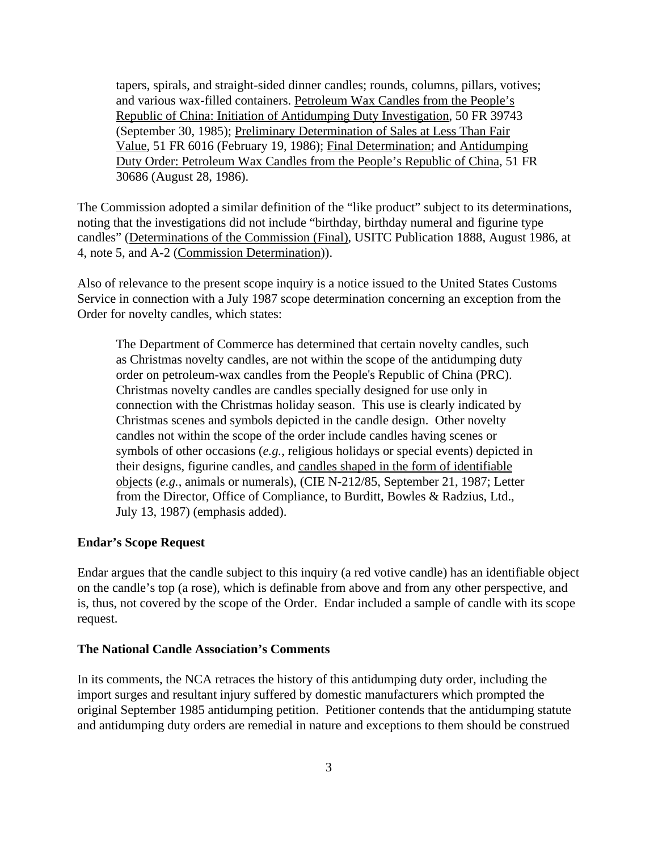tapers, spirals, and straight-sided dinner candles; rounds, columns, pillars, votives; and various wax-filled containers. Petroleum Wax Candles from the People's Republic of China: Initiation of Antidumping Duty Investigation, 50 FR 39743 (September 30, 1985); Preliminary Determination of Sales at Less Than Fair Value, 51 FR 6016 (February 19, 1986); Final Determination; and Antidumping Duty Order: Petroleum Wax Candles from the People's Republic of China, 51 FR 30686 (August 28, 1986).

The Commission adopted a similar definition of the "like product" subject to its determinations, noting that the investigations did not include "birthday, birthday numeral and figurine type candles" (Determinations of the Commission (Final), USITC Publication 1888, August 1986, at 4, note 5, and A-2 (Commission Determination)).

Also of relevance to the present scope inquiry is a notice issued to the United States Customs Service in connection with a July 1987 scope determination concerning an exception from the Order for novelty candles, which states:

The Department of Commerce has determined that certain novelty candles, such as Christmas novelty candles, are not within the scope of the antidumping duty order on petroleum-wax candles from the People's Republic of China (PRC). Christmas novelty candles are candles specially designed for use only in connection with the Christmas holiday season. This use is clearly indicated by Christmas scenes and symbols depicted in the candle design. Other novelty candles not within the scope of the order include candles having scenes or symbols of other occasions (*e.g.*, religious holidays or special events) depicted in their designs, figurine candles, and candles shaped in the form of identifiable objects (*e.g.*, animals or numerals), (CIE N-212/85, September 21, 1987; Letter from the Director, Office of Compliance, to Burditt, Bowles & Radzius, Ltd., July 13, 1987) (emphasis added).

#### **Endar's Scope Request**

Endar argues that the candle subject to this inquiry (a red votive candle) has an identifiable object on the candle's top (a rose), which is definable from above and from any other perspective, and is, thus, not covered by the scope of the Order. Endar included a sample of candle with its scope request.

#### **The National Candle Association's Comments**

In its comments, the NCA retraces the history of this antidumping duty order, including the import surges and resultant injury suffered by domestic manufacturers which prompted the original September 1985 antidumping petition. Petitioner contends that the antidumping statute and antidumping duty orders are remedial in nature and exceptions to them should be construed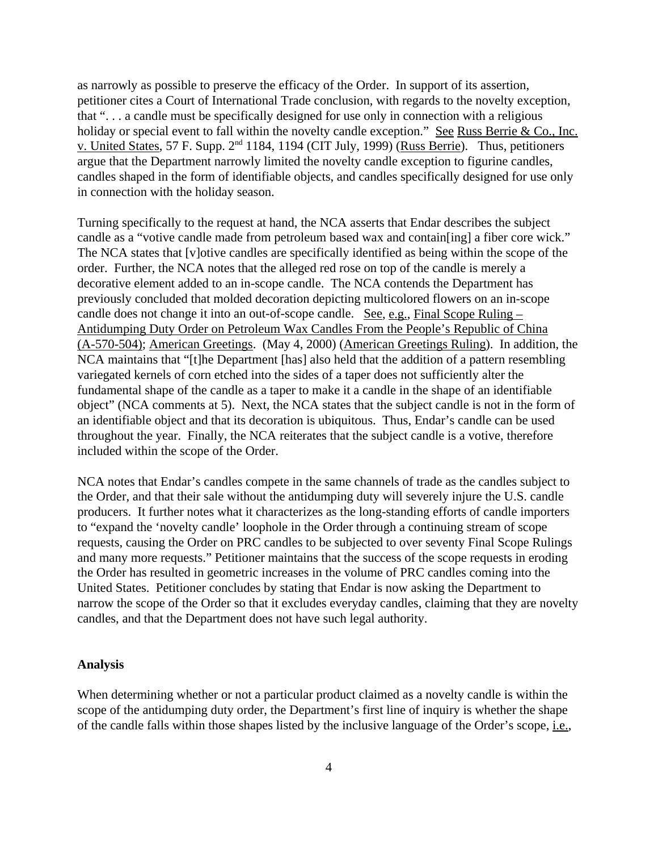as narrowly as possible to preserve the efficacy of the Order. In support of its assertion, petitioner cites a Court of International Trade conclusion, with regards to the novelty exception, that ". . . a candle must be specifically designed for use only in connection with a religious holiday or special event to fall within the novelty candle exception." See Russ Berrie & Co., Inc. v. United States, 57 F. Supp. 2<sup>nd</sup> 1184, 1194 (CIT July, 1999) (Russ Berrie). Thus, petitioners argue that the Department narrowly limited the novelty candle exception to figurine candles, candles shaped in the form of identifiable objects, and candles specifically designed for use only in connection with the holiday season.

Turning specifically to the request at hand, the NCA asserts that Endar describes the subject candle as a "votive candle made from petroleum based wax and contain[ing] a fiber core wick." The NCA states that [v]otive candles are specifically identified as being within the scope of the order. Further, the NCA notes that the alleged red rose on top of the candle is merely a decorative element added to an in-scope candle. The NCA contends the Department has previously concluded that molded decoration depicting multicolored flowers on an in-scope candle does not change it into an out-of-scope candle. See, e.g., Final Scope Ruling – Antidumping Duty Order on Petroleum Wax Candles From the People's Republic of China (A-570-504); American Greetings. (May 4, 2000) (American Greetings Ruling). In addition, the NCA maintains that "[t]he Department [has] also held that the addition of a pattern resembling variegated kernels of corn etched into the sides of a taper does not sufficiently alter the fundamental shape of the candle as a taper to make it a candle in the shape of an identifiable object" (NCA comments at 5). Next, the NCA states that the subject candle is not in the form of an identifiable object and that its decoration is ubiquitous. Thus, Endar's candle can be used throughout the year. Finally, the NCA reiterates that the subject candle is a votive, therefore included within the scope of the Order.

NCA notes that Endar's candles compete in the same channels of trade as the candles subject to the Order, and that their sale without the antidumping duty will severely injure the U.S. candle producers. It further notes what it characterizes as the long-standing efforts of candle importers to "expand the 'novelty candle' loophole in the Order through a continuing stream of scope requests, causing the Order on PRC candles to be subjected to over seventy Final Scope Rulings and many more requests." Petitioner maintains that the success of the scope requests in eroding the Order has resulted in geometric increases in the volume of PRC candles coming into the United States. Petitioner concludes by stating that Endar is now asking the Department to narrow the scope of the Order so that it excludes everyday candles, claiming that they are novelty candles, and that the Department does not have such legal authority.

#### **Analysis**

When determining whether or not a particular product claimed as a novelty candle is within the scope of the antidumping duty order, the Department's first line of inquiry is whether the shape of the candle falls within those shapes listed by the inclusive language of the Order's scope, i.e.,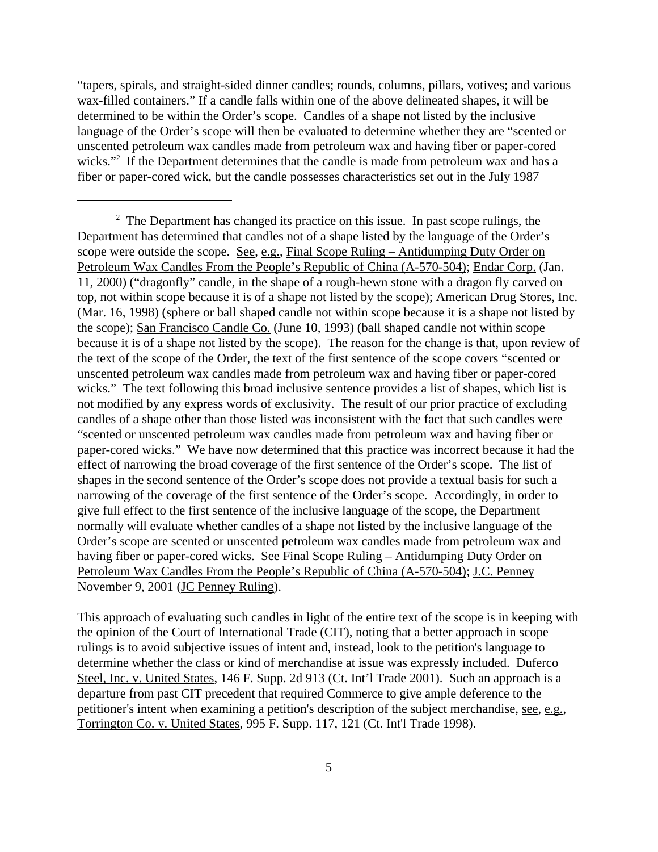"tapers, spirals, and straight-sided dinner candles; rounds, columns, pillars, votives; and various wax-filled containers." If a candle falls within one of the above delineated shapes, it will be determined to be within the Order's scope. Candles of a shape not listed by the inclusive language of the Order's scope will then be evaluated to determine whether they are "scented or unscented petroleum wax candles made from petroleum wax and having fiber or paper-cored wicks."<sup>2</sup> If the Department determines that the candle is made from petroleum wax and has a fiber or paper-cored wick, but the candle possesses characteristics set out in the July 1987

This approach of evaluating such candles in light of the entire text of the scope is in keeping with the opinion of the Court of International Trade (CIT), noting that a better approach in scope rulings is to avoid subjective issues of intent and, instead, look to the petition's language to determine whether the class or kind of merchandise at issue was expressly included. Duferco Steel, Inc. v. United States, 146 F. Supp. 2d 913 (Ct. Int'l Trade 2001). Such an approach is a departure from past CIT precedent that required Commerce to give ample deference to the petitioner's intent when examining a petition's description of the subject merchandise, see, e.g., Torrington Co. v. United States, 995 F. Supp. 117, 121 (Ct. Int'l Trade 1998).

 $2<sup>2</sup>$  The Department has changed its practice on this issue. In past scope rulings, the Department has determined that candles not of a shape listed by the language of the Order's scope were outside the scope. See, e.g., Final Scope Ruling – Antidumping Duty Order on Petroleum Wax Candles From the People's Republic of China (A-570-504); Endar Corp. (Jan. 11, 2000) ("dragonfly" candle, in the shape of a rough-hewn stone with a dragon fly carved on top, not within scope because it is of a shape not listed by the scope); American Drug Stores, Inc. (Mar. 16, 1998) (sphere or ball shaped candle not within scope because it is a shape not listed by the scope); San Francisco Candle Co. (June 10, 1993) (ball shaped candle not within scope because it is of a shape not listed by the scope). The reason for the change is that, upon review of the text of the scope of the Order, the text of the first sentence of the scope covers "scented or unscented petroleum wax candles made from petroleum wax and having fiber or paper-cored wicks." The text following this broad inclusive sentence provides a list of shapes, which list is not modified by any express words of exclusivity. The result of our prior practice of excluding candles of a shape other than those listed was inconsistent with the fact that such candles were "scented or unscented petroleum wax candles made from petroleum wax and having fiber or paper-cored wicks." We have now determined that this practice was incorrect because it had the effect of narrowing the broad coverage of the first sentence of the Order's scope. The list of shapes in the second sentence of the Order's scope does not provide a textual basis for such a narrowing of the coverage of the first sentence of the Order's scope. Accordingly, in order to give full effect to the first sentence of the inclusive language of the scope, the Department normally will evaluate whether candles of a shape not listed by the inclusive language of the Order's scope are scented or unscented petroleum wax candles made from petroleum wax and having fiber or paper-cored wicks. See Final Scope Ruling – Antidumping Duty Order on Petroleum Wax Candles From the People's Republic of China (A-570-504); J.C. Penney November 9, 2001 (JC Penney Ruling).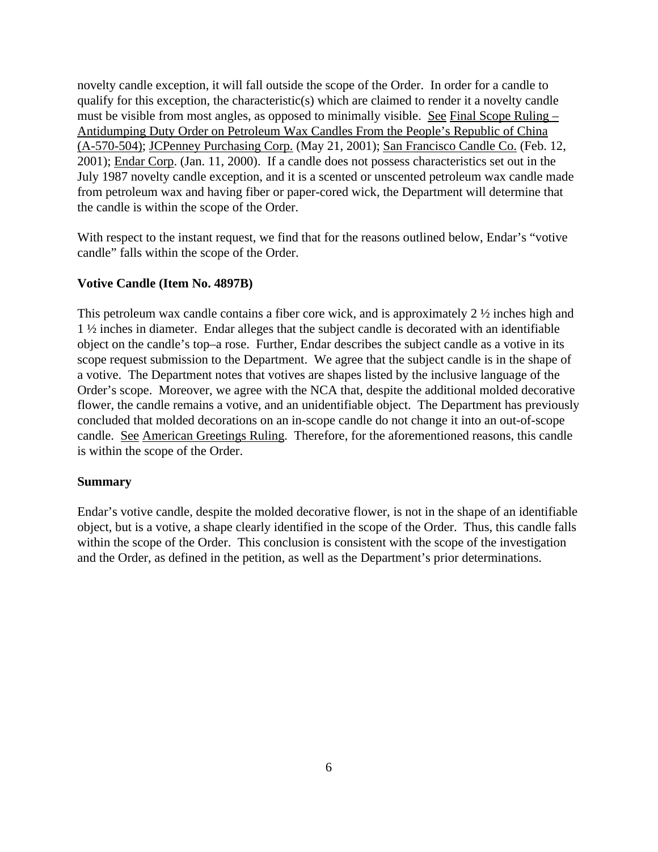novelty candle exception, it will fall outside the scope of the Order. In order for a candle to qualify for this exception, the characteristic(s) which are claimed to render it a novelty candle must be visible from most angles, as opposed to minimally visible. See Final Scope Ruling – Antidumping Duty Order on Petroleum Wax Candles From the People's Republic of China (A-570-504); JCPenney Purchasing Corp. (May 21, 2001); San Francisco Candle Co. (Feb. 12, 2001); Endar Corp. (Jan. 11, 2000). If a candle does not possess characteristics set out in the July 1987 novelty candle exception, and it is a scented or unscented petroleum wax candle made from petroleum wax and having fiber or paper-cored wick, the Department will determine that the candle is within the scope of the Order.

With respect to the instant request, we find that for the reasons outlined below, Endar's "votive candle" falls within the scope of the Order.

## **Votive Candle (Item No. 4897B)**

This petroleum wax candle contains a fiber core wick, and is approximately 2 ½ inches high and 1 ½ inches in diameter. Endar alleges that the subject candle is decorated with an identifiable object on the candle's top–a rose. Further, Endar describes the subject candle as a votive in its scope request submission to the Department. We agree that the subject candle is in the shape of a votive. The Department notes that votives are shapes listed by the inclusive language of the Order's scope. Moreover, we agree with the NCA that, despite the additional molded decorative flower, the candle remains a votive, and an unidentifiable object. The Department has previously concluded that molded decorations on an in-scope candle do not change it into an out-of-scope candle. See American Greetings Ruling. Therefore, for the aforementioned reasons, this candle is within the scope of the Order.

## **Summary**

Endar's votive candle, despite the molded decorative flower, is not in the shape of an identifiable object, but is a votive, a shape clearly identified in the scope of the Order. Thus, this candle falls within the scope of the Order. This conclusion is consistent with the scope of the investigation and the Order, as defined in the petition, as well as the Department's prior determinations.